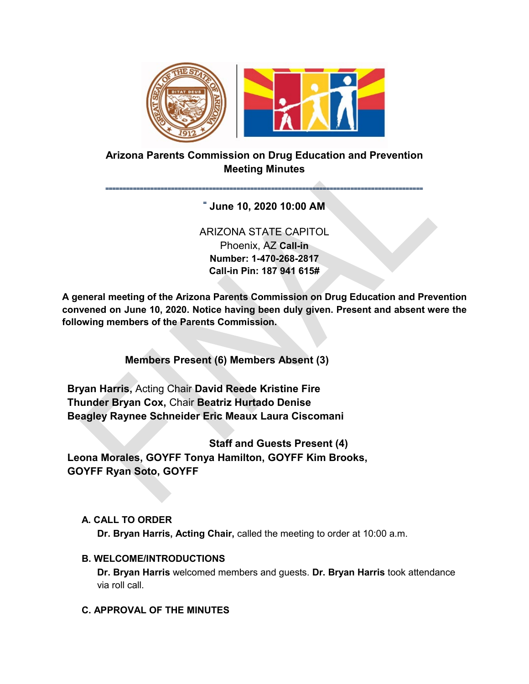

# **Arizona Parents Commission on Drug Education and Prevention Meeting Minutes**

### **˭˭˭˭˭˭˭˭˭˭˭˭˭˭˭˭˭˭˭˭˭˭˭˭˭˭˭˭˭˭˭˭˭˭˭˭˭˭˭˭˭˭˭˭˭˭˭˭˭˭˭˭˭˭˭˭˭˭˭˭˭˭˭˭˭˭˭˭˭˭˭˭˭˭˭˭˭˭˭˭˭˭˭˭˭˭˭˭˭˭˭˭ ˭ June 10, 2020 10:00 AM**

# ARIZONA STATE CAPITOL Phoenix, AZ **Call-in Number: 1-470-268-2817 Call-in Pin: 187 941 615#**

**A general meeting of the Arizona Parents Commission on Drug Education and Prevention convened on June 10, 2020. Notice having been duly given. Present and absent were the following members of the Parents Commission.** 

**Members Present (6) Members Absent (3)** 

**Bryan Harris,** Acting Chair **David Reede Kristine Fire Thunder Bryan Cox,** Chair **Beatriz Hurtado Denise Beagley Raynee Schneider Eric Meaux Laura Ciscomani** 

**Staff and Guests Present (4) Leona Morales, GOYFF Tonya Hamilton, GOYFF Kim Brooks, GOYFF Ryan Soto, GOYFF** 

## **A. CALL TO ORDER**

**Dr. Bryan Harris, Acting Chair,** called the meeting to order at 10:00 a.m.

### **B. WELCOME/INTRODUCTIONS**

**Dr. Bryan Harris** welcomed members and guests. **Dr. Bryan Harris** took attendance via roll call.

## **C. APPROVAL OF THE MINUTES**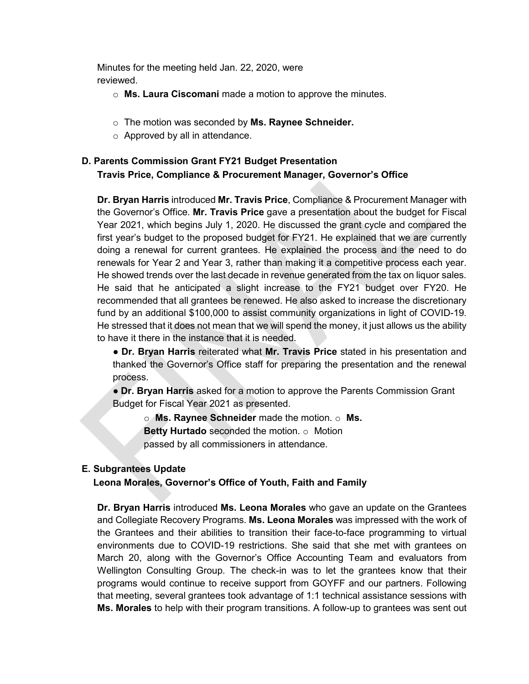Minutes for the meeting held Jan. 22, 2020, were reviewed.

- o **Ms. Laura Ciscomani** made a motion to approve the minutes.
- o The motion was seconded by **Ms. Raynee Schneider.**
- $\circ$  Approved by all in attendance.

# **D. Parents Commission Grant FY21 Budget Presentation Travis Price, Compliance & Procurement Manager, Governor's Office**

**Dr. Bryan Harris** introduced **Mr. Travis Price**, Compliance & Procurement Manager with the Governor's Office. **Mr. Travis Price** gave a presentation about the budget for Fiscal Year 2021, which begins July 1, 2020. He discussed the grant cycle and compared the first year's budget to the proposed budget for FY21. He explained that we are currently doing a renewal for current grantees. He explained the process and the need to do renewals for Year 2 and Year 3, rather than making it a competitive process each year. He showed trends over the last decade in revenue generated from the tax on liquor sales. He said that he anticipated a slight increase to the FY21 budget over FY20. He recommended that all grantees be renewed. He also asked to increase the discretionary fund by an additional \$100,000 to assist community organizations in light of COVID-19. He stressed that it does not mean that we will spend the money, it just allows us the ability to have it there in the instance that it is needed.

● **Dr. Bryan Harris** reiterated what **Mr. Travis Price** stated in his presentation and thanked the Governor's Office staff for preparing the presentation and the renewal process.

● **Dr. Bryan Harris** asked for a motion to approve the Parents Commission Grant Budget for Fiscal Year 2021 as presented.

o **Ms. Raynee Schneider** made the motion. o **Ms. Betty Hurtado** seconded the motion. o Motion passed by all commissioners in attendance.

### **E. Subgrantees Update**

**Leona Morales, Governor's Office of Youth, Faith and Family** 

**Dr. Bryan Harris** introduced **Ms. Leona Morales** who gave an update on the Grantees and Collegiate Recovery Programs. **Ms. Leona Morales** was impressed with the work of the Grantees and their abilities to transition their face-to-face programming to virtual environments due to COVID-19 restrictions. She said that she met with grantees on March 20, along with the Governor's Office Accounting Team and evaluators from Wellington Consulting Group. The check-in was to let the grantees know that their programs would continue to receive support from GOYFF and our partners. Following that meeting, several grantees took advantage of 1:1 technical assistance sessions with **Ms. Morales** to help with their program transitions. A follow-up to grantees was sent out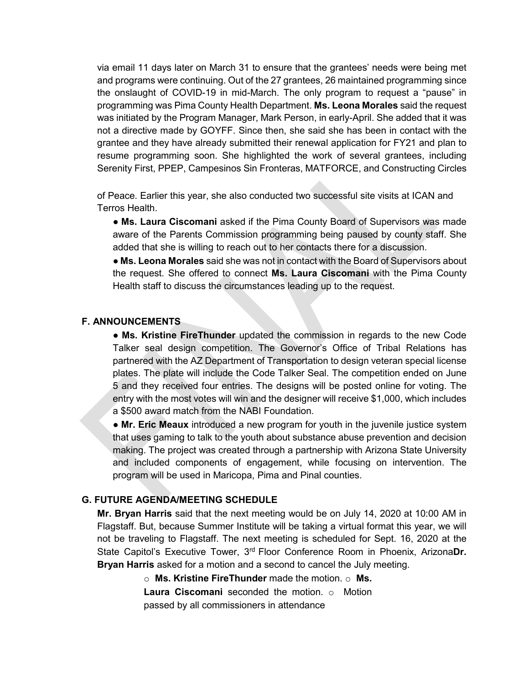via email 11 days later on March 31 to ensure that the grantees' needs were being met and programs were continuing. Out of the 27 grantees, 26 maintained programming since the onslaught of COVID-19 in mid-March. The only program to request a "pause" in programming was Pima County Health Department. **Ms. Leona Morales** said the request was initiated by the Program Manager, Mark Person, in early-April. She added that it was not a directive made by GOYFF. Since then, she said she has been in contact with the grantee and they have already submitted their renewal application for FY21 and plan to resume programming soon. She highlighted the work of several grantees, including Serenity First, PPEP, Campesinos Sin Fronteras, MATFORCE, and Constructing Circles

of Peace. Earlier this year, she also conducted two successful site visits at ICAN and Terros Health.

● **Ms. Laura Ciscomani** asked if the Pima County Board of Supervisors was made aware of the Parents Commission programming being paused by county staff. She added that she is willing to reach out to her contacts there for a discussion.

● **Ms. Leona Morales** said she was not in contact with the Board of Supervisors about the request. She offered to connect **Ms. Laura Ciscomani** with the Pima County Health staff to discuss the circumstances leading up to the request.

#### **F. ANNOUNCEMENTS**

● **Ms. Kristine FireThunder** updated the commission in regards to the new Code Talker seal design competition. The Governor's Office of Tribal Relations has partnered with the AZ Department of Transportation to design veteran special license plates. The plate will include the Code Talker Seal. The competition ended on June 5 and they received four entries. The designs will be posted online for voting. The entry with the most votes will win and the designer will receive \$1,000, which includes a \$500 award match from the NABI Foundation.

● **Mr. Eric Meaux** introduced a new program for youth in the juvenile justice system that uses gaming to talk to the youth about substance abuse prevention and decision making. The project was created through a partnership with Arizona State University and included components of engagement, while focusing on intervention. The program will be used in Maricopa, Pima and Pinal counties.

#### **G. FUTURE AGENDA/MEETING SCHEDULE**

**Mr. Bryan Harris** said that the next meeting would be on July 14, 2020 at 10:00 AM in Flagstaff. But, because Summer Institute will be taking a virtual format this year, we will not be traveling to Flagstaff. The next meeting is scheduled for Sept. 16, 2020 at the State Capitol's Executive Tower, 3rd Floor Conference Room in Phoenix, Arizona**Dr. Bryan Harris** asked for a motion and a second to cancel the July meeting.

o **Ms. Kristine FireThunder** made the motion. o **Ms.** 

**Laura Ciscomani** seconded the motion. o Motion passed by all commissioners in attendance